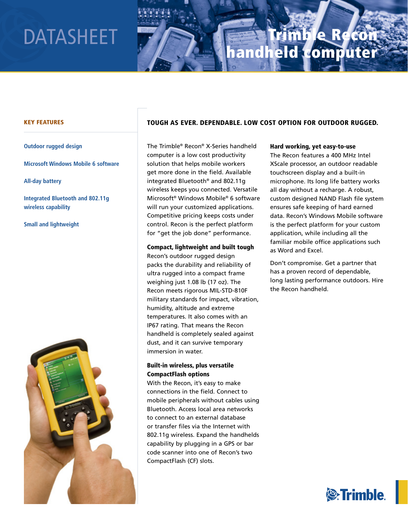# DATASHEET

# Trimble Recon handheld computer

## Key Features

**Outdoor rugged design**

**Microsoft Windows Mobile 6 software**

**All-day battery**

**Integrated Bluetooth and 802.11g wireless capability**

**Small and lightweight**



# tOuGH as eVer. DePeNDaBLe. LOW COst OPtION FOr OutDOOr ruGGeD.

The Trimble® Recon® X-Series handheld computer is a low cost productivity solution that helps mobile workers get more done in the field. Available integrated Bluetooth® and 802.11g wireless keeps you connected. Versatile Microsoft® Windows Mobile® 6 software will run your customized applications. Competitive pricing keeps costs under control. Recon is the perfect platform for "get the job done" performance.

Compact, lightweight and built tough Recon's outdoor rugged design packs the durability and reliability of ultra rugged into a compact frame weighing just 1.08 lb (17 oz). The Recon meets rigorous MIL-STD-810F military standards for impact, vibration, humidity, altitude and extreme temperatures. It also comes with an IP67 rating. That means the Recon handheld is completely sealed against dust, and it can survive temporary immersion in water.

# Built-in wireless, plus versatile CompactFlash options

With the Recon, it's easy to make connections in the field. Connect to mobile peripherals without cables using Bluetooth. Access local area networks to connect to an external database or transfer files via the Internet with 802.11g wireless. Expand the handhelds capability by plugging in a GPS or bar code scanner into one of Recon's two CompactFlash (CF) slots.

### Hard working, yet easy-to-use

The Recon features a 400 MHz Intel XScale processor, an outdoor readable touchscreen display and a built-in microphone. Its long life battery works all day without a recharge. A robust, custom designed NAND Flash file system ensures safe keeping of hard earned data. Recon's Windows Mobile software is the perfect platform for your custom application, while including all the familiar mobile office applications such as Word and Excel.

Don't compromise. Get a partner that has a proven record of dependable, long lasting performance outdoors. Hire the Recon handheld.